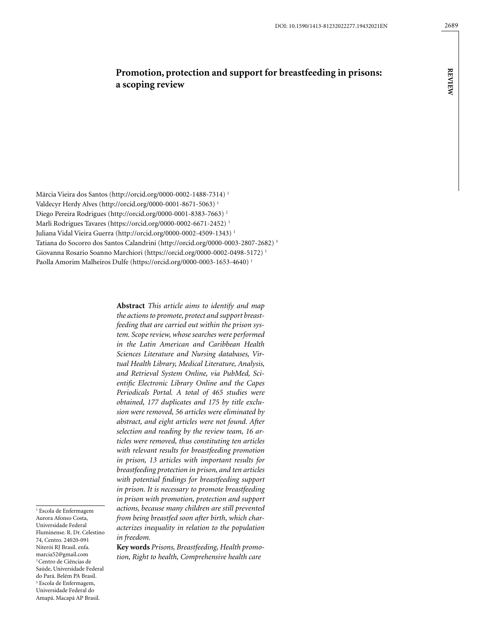**review**

**REVIEW** 

# **Promotion, protection and support for breastfeeding in prisons: a scoping review**

Márcia Vieira dos Santos (http://orcid.org/0000-0002-1488-7314) 1 Valdecyr Herdy Alves (http://orcid.org/0000-0001-8671-5063) 1 Diego Pereira Rodrigues (http://orcid.org/0000-0001-8383-7663) 2 Marli Rodrigues Tavares (https://orcid.org/0000-0002-6671-2452) 1 Juliana Vidal Vieira Guerra ([http://orcid.org/0000-0002-4509-1343\)](http://orcid.org/0000-0002-4509-1343) 1 Tatiana do Socorro dos Santos Calandrini (http://orcid.org/0000-0003-2807-2682) 3 Giovanna Rosario Soanno Marchiori (https://orcid.org/0000-0002-0498-5172) 1 Paolla Amorim Malheiros Dulfe (https://orcid.org/0000-0003-1653-4640) 1

> **Abstract** *This article aims to identify and map the actions to promote, protect and support breastfeeding that are carried out within the prison system. Scope review, whose searches were performed in the Latin American and Caribbean Health Sciences Literature and Nursing databases, Virtual Health Library, Medical Literature, Analysis, and Retrieval System Online, via PubMed, Scientific Electronic Library Online and the Capes Periodicals Portal. A total of 465 studies were obtained, 177 duplicates and 175 by title exclusion were removed, 56 articles were eliminated by abstract, and eight articles were not found. After selection and reading by the review team, 16 articles were removed, thus constituting ten articles with relevant results for breastfeeding promotion in prison, 13 articles with important results for breastfeeding protection in prison, and ten articles with potential findings for breastfeeding support in prison. It is necessary to promote breastfeeding in prison with promotion, protection and support actions, because many children are still prevented from being breastfed soon after birth, which characterizes inequality in relation to the population in freedom.*

**Key words** *Prisons, Breastfeeding, Health promotion, Right to health, Comprehensive health care*

1 Escola de Enfermagem Aurora Afonso Costa, Universidade Federal Fluminense. R. Dr. Celestino 74, Centro. 24020-091 Niterói RJ Brasil. enfa. marcia52@gmail.com 2 Centro de Ciências de Saúde, Universidade Federal do Pará. Belém PA Brasil. 3 Escola de Enfermagem, Universidade Federal do Amapá. Macapá AP Brasil.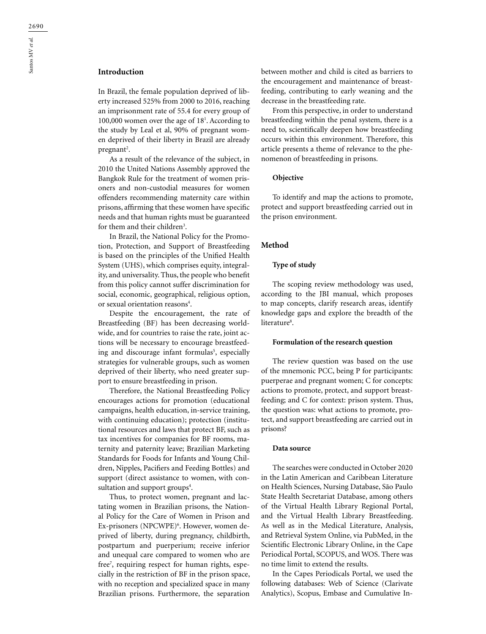## **Introduction**

In Brazil, the female population deprived of liberty increased 525% from 2000 to 2016, reaching an imprisonment rate of 55.4 for every group of 100,000 women over the age of 18<sup>1</sup>. According to the study by Leal et al, 90% of pregnant women deprived of their liberty in Brazil are already pregnant<sup>2</sup>.

As a result of the relevance of the subject, in 2010 the United Nations Assembly approved the Bangkok Rule for the treatment of women prisoners and non-custodial measures for women offenders recommending maternity care within prisons, affirming that these women have specific needs and that human rights must be guaranteed for them and their children<sup>3</sup>.

In Brazil, the National Policy for the Promotion, Protection, and Support of Breastfeeding is based on the principles of the Unified Health System (UHS), which comprises equity, integrality, and universality. Thus, the people who benefit from this policy cannot suffer discrimination for social, economic, geographical, religious option, or sexual orientation reasons<sup>4</sup>.

Despite the encouragement, the rate of Breastfeeding (BF) has been decreasing worldwide, and for countries to raise the rate, joint actions will be necessary to encourage breastfeeding and discourage infant formulas<sup>5</sup>, especially strategies for vulnerable groups, such as women deprived of their liberty, who need greater support to ensure breastfeeding in prison.

Therefore, the National Breastfeeding Policy encourages actions for promotion (educational campaigns, health education, in-service training, with continuing education); protection (institutional resources and laws that protect BF, such as tax incentives for companies for BF rooms, maternity and paternity leave; Brazilian Marketing Standards for Foods for Infants and Young Children, Nipples, Pacifiers and Feeding Bottles) and support (direct assistance to women, with consultation and support groups<sup>4</sup>.

Thus, to protect women, pregnant and lactating women in Brazilian prisons, the National Policy for the Care of Women in Prison and Ex-prisoners (NPCWPE)<sup>6</sup>. However, women deprived of liberty, during pregnancy, childbirth, postpartum and puerperium; receive inferior and unequal care compared to women who are free7 , requiring respect for human rights, especially in the restriction of BF in the prison space, with no reception and specialized space in many Brazilian prisons. Furthermore, the separation between mother and child is cited as barriers to the encouragement and maintenance of breastfeeding, contributing to early weaning and the decrease in the breastfeeding rate.

From this perspective, in order to understand breastfeeding within the penal system, there is a need to, scientifically deepen how breastfeeding occurs within this environment. Therefore, this article presents a theme of relevance to the phenomenon of breastfeeding in prisons.

### **Objective**

To identify and map the actions to promote, protect and support breastfeeding carried out in the prison environment.

### **Method**

### **Type of study**

The scoping review methodology was used, according to the JBI manual, which proposes to map concepts, clarify research areas, identify knowledge gaps and explore the breadth of the literature<sup>8</sup>.

#### **Formulation of the research question**

The review question was based on the use of the mnemonic PCC, being P for participants: puerperae and pregnant women; C for concepts: actions to promote, protect, and support breastfeeding; and C for context: prison system. Thus, the question was: what actions to promote, protect, and support breastfeeding are carried out in prisons?

## **Data source**

The searches were conducted in October 2020 in the Latin American and Caribbean Literature on Health Sciences, Nursing Database, São Paulo State Health Secretariat Database, among others of the Virtual Health Library Regional Portal, and the Virtual Health Library Breastfeeding. As well as in the Medical Literature, Analysis, and Retrieval System Online, via PubMed, in the Scientific Electronic Library Online, in the Cape Periodical Portal, SCOPUS, and WOS. There was no time limit to extend the results.

In the Capes Periodicals Portal, we used the following databases: Web of Science (Clarivate Analytics), Scopus, Embase and Cumulative In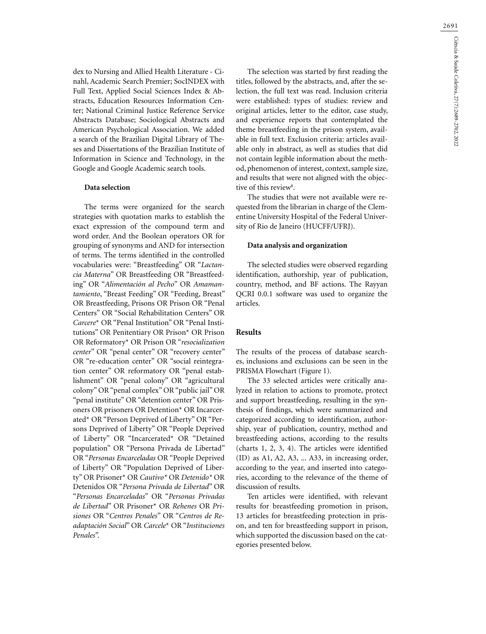dex to Nursing and Allied Health Literature - Cinahl, Academic Search Premier; SocINDEX with Full Text, Applied Social Sciences Index & Abstracts, Education Resources Information Center; National Criminal Justice Reference Service Abstracts Database; Sociological Abstracts and American Psychological Association. We added a search of the Brazilian Digital Library of Theses and Dissertations of the Brazilian Institute of Information in Science and Technology, in the Google and Google Academic search tools.

## **Data selection**

The terms were organized for the search strategies with quotation marks to establish the exact expression of the compound term and word order. And the Boolean operators OR for grouping of synonyms and AND for intersection of terms. The terms identified in the controlled vocabularies were: "Breastfeeding" OR "*Lactancia Materna*" OR Breastfeeding OR "Breastfeeding" OR "*Alimentación al Pecho*" OR *Amamantamiento*, "Breast Feeding" OR "Feeding, Breast" OR Breastfeeding, Prisons OR Prison OR "Penal Centers" OR "Social Rehabilitation Centers" OR *Carcere*\* OR "Penal Institution" OR "Penal Institutions" OR Penitentiary OR Prison\* OR Prison OR Reformatory\* OR Prison OR "*resocialization center*" OR "penal center" OR "recovery center" OR "re-education center" OR "social reintegration center" OR reformatory OR "penal establishment" OR "penal colony" OR "agricultural colony" OR "penal complex" OR "public jail" OR "penal institute" OR "detention center" OR Prisoners OR prisoners OR Detention\* OR Incarcerated\* OR "Person Deprived of Liberty" OR "Persons Deprived of Liberty" OR "People Deprived of Liberty" OR "Incarcerated\* OR "Detained population" OR "Persona Privada de Libertad" OR "*Personas Encarceladas* OR "People Deprived of Liberty" OR "Population Deprived of Liberty" OR Prisoner\* OR *Cautivo\** OR *Detenido\** OR Detenidos OR "*Persona Privada de Libertad*" OR "*Personas Encarceladas*" OR "*Personas Privadas de Libertad*" OR Prisoner\* OR *Rehenes* OR *Prisiones* OR "*Centros Penales*" OR "*Centros de Readaptación Social*" OR *Carcele*\* OR "*Instituciones Penales*".

The selection was started by first reading the titles, followed by the abstracts, and, after the selection, the full text was read. Inclusion criteria were established: types of studies: review and original articles, letter to the editor, case study, and experience reports that contemplated the theme breastfeeding in the prison system, available in full text. Exclusion criteria: articles available only in abstract, as well as studies that did not contain legible information about the method, phenomenon of interest, context, sample size, and results that were not aligned with the objective of this review<sup>8</sup>.

The studies that were not available were requested from the librarian in charge of the Clementine University Hospital of the Federal University of Rio de Janeiro (HUCFF/UFRJ).

#### **Data analysis and organization**

The selected studies were observed regarding identification, authorship, year of publication, country, method, and BF actions. The Rayyan QCRI 0.0.1 software was used to organize the articles.

## **Results**

The results of the process of database searches, inclusions and exclusions can be seen in the PRISMA Flowchart (Figure 1).

The 33 selected articles were critically analyzed in relation to actions to promote, protect and support breastfeeding, resulting in the synthesis of findings, which were summarized and categorized according to identification, authorship, year of publication, country, method and breastfeeding actions, according to the results (charts 1, 2, 3, 4). The articles were identified (ID) as A1, A2, A3, ... A33, in increasing order, according to the year, and inserted into categories, according to the relevance of the theme of discussion of results.

Ten articles were identified, with relevant results for breastfeeding promotion in prison, 13 articles for breastfeeding protection in prison, and ten for breastfeeding support in prison, which supported the discussion based on the categories presented below.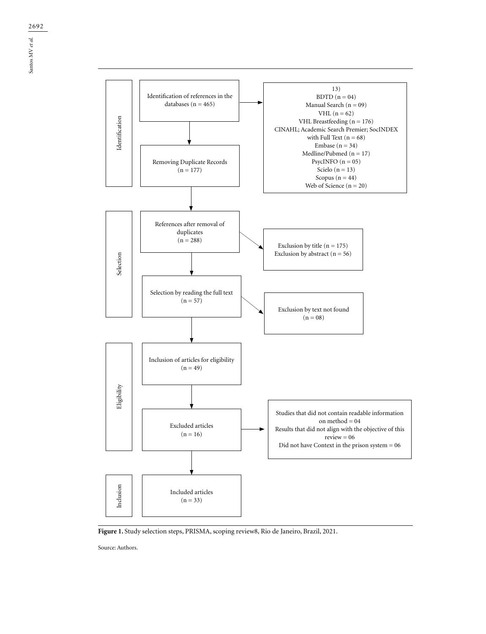

**Figure 1.** Study selection steps, PRISMA, scoping review8, Rio de Janeiro, Brazil, 2021.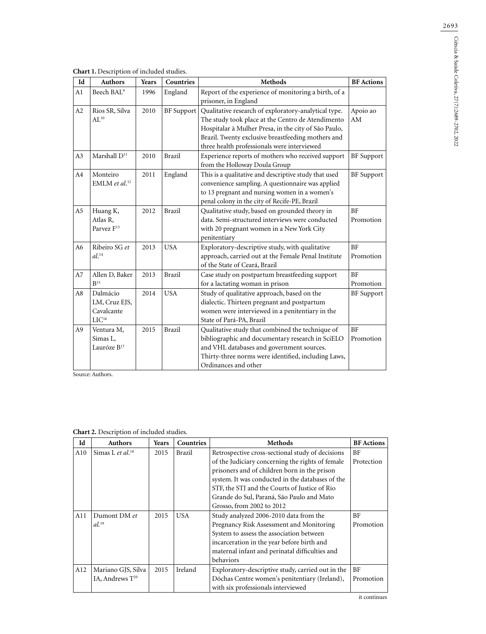| Id             | <b>Authors</b>                                               | Years | Countries         | <b>Methods</b>                                                                                                                                                                                                                                                         | <b>BF</b> Actions      |
|----------------|--------------------------------------------------------------|-------|-------------------|------------------------------------------------------------------------------------------------------------------------------------------------------------------------------------------------------------------------------------------------------------------------|------------------------|
| A1             | Beech BAL <sup>9</sup>                                       | 1996  | England           | Report of the experience of monitoring a birth, of a<br>prisoner, in England                                                                                                                                                                                           |                        |
| A2             | Rios SR, Silva<br>$AL^{10}$                                  | 2010  | <b>BF</b> Support | Qualitative research of exploratory-analytical type.<br>The study took place at the Centro de Atendimento<br>Hospitalar à Mulher Presa, in the city of São Paulo,<br>Brazil. Twenty exclusive breastfeeding mothers and<br>three health professionals were interviewed | Apoio ao<br>AM         |
| A <sub>3</sub> | Marshall D <sup>11</sup>                                     | 2010  | <b>Brazil</b>     | Experience reports of mothers who received support<br>from the Holloway Doula Group                                                                                                                                                                                    | <b>BF</b> Support      |
| A4             | Monteiro<br>EMLM et al. <sup>12</sup>                        | 2011  | England           | This is a qualitative and descriptive study that used<br>convenience sampling. A questionnaire was applied<br>to 13 pregnant and nursing women in a women's<br>penal colony in the city of Recife-PE, Brazil                                                           | <b>BF</b> Support      |
| A <sub>5</sub> | Huang K,<br>Atlas R,<br>Parvez F <sup>13</sup>               | 2012  | <b>Brazil</b>     | Qualitative study, based on grounded theory in<br>data. Semi-structured interviews were conducted<br>with 20 pregnant women in a New York City<br>penitentiary                                                                                                         | <b>BF</b><br>Promotion |
| A6             | Ribeiro SG et<br>$al.^{14}$                                  | 2013  | <b>USA</b>        | Exploratory-descriptive study, with qualitative<br>approach, carried out at the Female Penal Institute<br>of the State of Ceará, Brazil                                                                                                                                | <b>BF</b><br>Promotion |
| A7             | Allen D, Baker<br>$R^{15}$                                   | 2013  | <b>Brazil</b>     | Case study on postpartum breastfeeding support<br>for a lactating woman in prison                                                                                                                                                                                      | <b>BF</b><br>Promotion |
| A8             | Dalmácio<br>LM, Cruz EJS,<br>Cavalcante<br>LIC <sup>16</sup> | 2014  | <b>USA</b>        | Study of qualitative approach, based on the<br>dialectic. Thirteen pregnant and postpartum<br>women were interviewed in a penitentiary in the<br>State of Pará-PA, Brazil                                                                                              | <b>BF</b> Support      |
| A <sub>9</sub> | Ventura M,<br>Simas L,<br>Lauróze B <sup>17</sup>            | 2015  | <b>Brazil</b>     | Qualitative study that combined the technique of<br>bibliographic and documentary research in SciELO<br>and VHL databases and government sources.<br>Thirty-three norms were identified, including Laws,<br>Ordinances and other                                       | <b>BF</b><br>Promotion |

| Id  | <b>Authors</b>               | Years | Countries | <b>Methods</b>                                    | <b>BF</b> Actions |
|-----|------------------------------|-------|-----------|---------------------------------------------------|-------------------|
| A10 | Simas L et al. <sup>18</sup> | 2015  | Brazil    | Retrospective cross-sectional study of decisions  | BF                |
|     |                              |       |           | of the Judiciary concerning the rights of female  | Protection        |
|     |                              |       |           | prisoners and of children born in the prison      |                   |
|     |                              |       |           | system. It was conducted in the databases of the  |                   |
|     |                              |       |           | STF, the STJ and the Courts of Justice of Rio     |                   |
|     |                              |       |           | Grande do Sul, Paraná, São Paulo and Mato         |                   |
|     |                              |       |           | Grosso, from 2002 to 2012                         |                   |
| A11 | Dumont DM et                 | 2015  | USA       | Study analyzed 2006-2010 data from the            | BF                |
|     | $al.^{19}$                   |       |           | Pregnancy Risk Assessment and Monitoring          | Promotion         |
|     |                              |       |           | System to assess the association between          |                   |
|     |                              |       |           | incarceration in the year before birth and        |                   |
|     |                              |       |           | maternal infant and perinatal difficulties and    |                   |
|     |                              |       |           | behaviors                                         |                   |
| A12 | Mariano GJS, Silva           | 2015  | Ireland   | Exploratory-descriptive study, carried out in the | BF                |
|     | IA, Andrews $T^{20}$         |       |           | Dóchas Centre women's penitentiary (Ireland),     | Promotion         |
|     |                              |       |           | with six professionals interviewed                |                   |

## **Chart 2.** Description of included studies.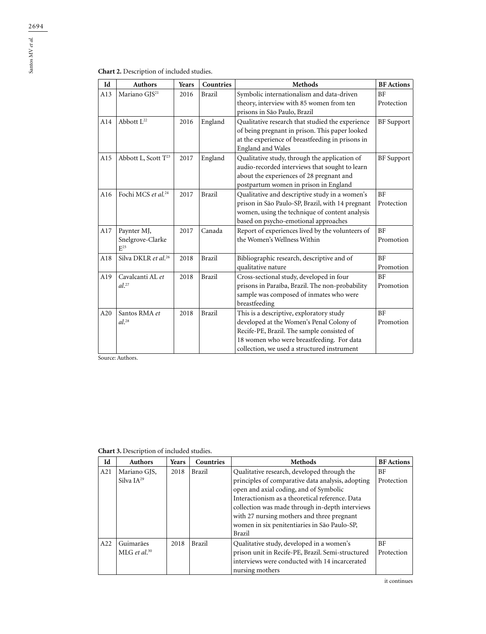# **Chart 2.** Description of included studies.

| Id  | <b>Authors</b>                              | Years | Countries | Methods                                                                                                                                                                                                                        | <b>BF</b> Actions       |
|-----|---------------------------------------------|-------|-----------|--------------------------------------------------------------------------------------------------------------------------------------------------------------------------------------------------------------------------------|-------------------------|
| A13 | Mariano GJS <sup>21</sup>                   | 2016  | Brazil    | Symbolic internationalism and data-driven<br>theory, interview with 85 women from ten<br>prisons in São Paulo, Brazil                                                                                                          | <b>BF</b><br>Protection |
| A14 | Abbott L <sup>22</sup>                      | 2016  | England   | Qualitative research that studied the experience<br>of being pregnant in prison. This paper looked<br>at the experience of breastfeeding in prisons in<br>England and Wales                                                    | <b>BF</b> Support       |
| A15 | Abbott L, Scott T <sup>23</sup>             | 2017  | England   | Qualitative study, through the application of<br>audio-recorded interviews that sought to learn<br>about the experiences of 28 pregnant and<br>postpartum women in prison in England                                           | <b>BF</b> Support       |
| A16 | Fochi MCS et al. <sup>24</sup>              | 2017  | Brazil    | Qualitative and descriptive study in a women's<br>prison in São Paulo-SP, Brazil, with 14 pregnant<br>women, using the technique of content analysis<br>based on psycho-emotional approaches                                   | <b>BF</b><br>Protection |
| A17 | Paynter MJ,<br>Snelgrove-Clarke<br>$E^{25}$ | 2017  | Canada    | Report of experiences lived by the volunteers of<br>the Women's Wellness Within                                                                                                                                                | <b>BF</b><br>Promotion  |
| A18 | Silva DKLR et al. <sup>26</sup>             | 2018  | Brazil    | Bibliographic research, descriptive and of<br>qualitative nature                                                                                                                                                               | BF<br>Promotion         |
| A19 | Cavalcanti AL et<br>$al.$ <sup>27</sup>     | 2018  | Brazil    | Cross-sectional study, developed in four<br>prisons in Paraíba, Brazil. The non-probability<br>sample was composed of inmates who were<br>breastfeeding                                                                        | <b>BF</b><br>Promotion  |
| A20 | Santos RMA et<br>$al.^{28}$                 | 2018  | Brazil    | This is a descriptive, exploratory study<br>developed at the Women's Penal Colony of<br>Recife-PE, Brazil. The sample consisted of<br>18 women who were breastfeeding. For data<br>collection, we used a structured instrument | <b>BF</b><br>Promotion  |

Source: Authors.

| Id  | <b>Authors</b>           | <b>Years</b> | Countries     | <b>Methods</b>                                    | <b>BF</b> Actions |
|-----|--------------------------|--------------|---------------|---------------------------------------------------|-------------------|
| A21 | Mariano GJS,             | 2018         | <b>Brazil</b> | Qualitative research, developed through the       | BF                |
|     | Silva $IA^{29}$          |              |               | principles of comparative data analysis, adopting | Protection        |
|     |                          |              |               | open and axial coding, and of Symbolic            |                   |
|     |                          |              |               | Interactionism as a theoretical reference. Data   |                   |
|     |                          |              |               | collection was made through in-depth interviews   |                   |
|     |                          |              |               | with 27 nursing mothers and three pregnant        |                   |
|     |                          |              |               | women in six penitentiaries in São Paulo-SP,      |                   |
|     |                          |              |               | Brazil                                            |                   |
| A22 | Guimarães                | 2018         | <b>Brazil</b> | Qualitative study, developed in a women's         | BF                |
|     | MLG et al. <sup>30</sup> |              |               | prison unit in Recife-PE, Brazil. Semi-structured | Protection        |
|     |                          |              |               | interviews were conducted with 14 incarcerated    |                   |
|     |                          |              |               | nursing mothers                                   |                   |

it continues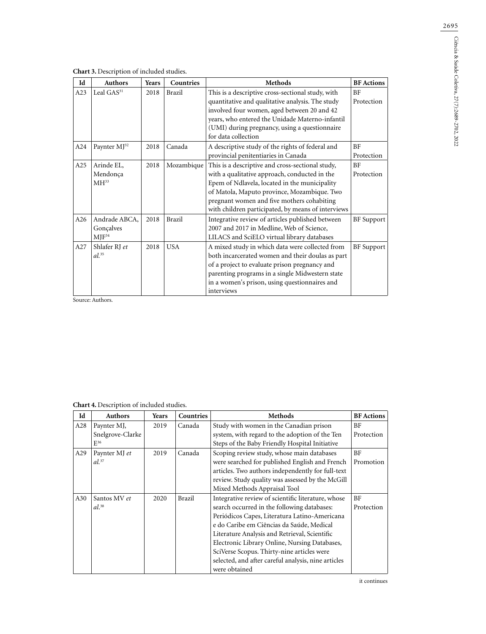| Chart 3. Description of included studies. |  |  |
|-------------------------------------------|--|--|
|-------------------------------------------|--|--|

| Id  | <b>Authors</b>           | Years | Countries     | <b>Methods</b>                                     | <b>BF</b> Actions |
|-----|--------------------------|-------|---------------|----------------------------------------------------|-------------------|
| A23 | Leal GAS <sup>31</sup>   | 2018  | Brazil        | This is a descriptive cross-sectional study, with  | <b>BF</b>         |
|     |                          |       |               | quantitative and qualitative analysis. The study   | Protection        |
|     |                          |       |               | involved four women, aged between 20 and 42        |                   |
|     |                          |       |               | years, who entered the Unidade Materno-infantil    |                   |
|     |                          |       |               | (UMI) during pregnancy, using a questionnaire      |                   |
|     |                          |       |               | for data collection                                |                   |
| A24 | Paynter MJ <sup>32</sup> | 2018  | Canada        | A descriptive study of the rights of federal and   | <b>BF</b>         |
|     |                          |       |               | provincial penitentiaries in Canada                | Protection        |
| A25 | Arinde EL,               | 2018  | Mozambique    | This is a descriptive and cross-sectional study,   | <b>BF</b>         |
|     | Mendonça                 |       |               | with a qualitative approach, conducted in the      | Protection        |
|     | MH <sup>33</sup>         |       |               | Epem of Ndlavela, located in the municipality      |                   |
|     |                          |       |               | of Matola, Maputo province, Mozambique. Two        |                   |
|     |                          |       |               | pregnant women and five mothers cohabiting         |                   |
|     |                          |       |               | with children participated, by means of interviews |                   |
| A26 | Andrade ABCA,            | 2018  | <b>Brazil</b> | Integrative review of articles published between   | <b>BF</b> Support |
|     | Gonçalves                |       |               | 2007 and 2017 in Medline, Web of Science,          |                   |
|     | $MIF^{34}$               |       |               | LILACS and SciELO virtual library databases        |                   |
| A27 | Shlafer RJ et            | 2018  | <b>USA</b>    | A mixed study in which data were collected from    | <b>BF</b> Support |
|     | $al.^{35}$               |       |               | both incarcerated women and their doulas as part   |                   |
|     |                          |       |               | of a project to evaluate prison pregnancy and      |                   |
|     |                          |       |               | parenting programs in a single Midwestern state    |                   |
|     |                          |       |               | in a women's prison, using questionnaires and      |                   |
|     |                          |       |               | interviews                                         |                   |

**Chart 4.** Description of included studies.

| Id  | Authors             | Years | Countries | <b>Methods</b>                                      | <b>BF</b> Actions |
|-----|---------------------|-------|-----------|-----------------------------------------------------|-------------------|
| A28 | Paynter MJ,         | 2019  | Canada    | Study with women in the Canadian prison             | <b>BF</b>         |
|     | Snelgrove-Clarke    |       |           | system, with regard to the adoption of the Ten      | Protection        |
|     | $E^{36}$            |       |           | Steps of the Baby Friendly Hospital Initiative      |                   |
| A29 | Paynter MJ et       | 2019  | Canada    | Scoping review study, whose main databases          | <b>BF</b>         |
|     | $al.$ <sup>37</sup> |       |           | were searched for published English and French      | Promotion         |
|     |                     |       |           | articles. Two authors independently for full-text   |                   |
|     |                     |       |           | review. Study quality was assessed by the McGill    |                   |
|     |                     |       |           | Mixed Methods Appraisal Tool                        |                   |
| A30 | Santos MV et        | 2020  | Brazil    | Integrative review of scientific literature, whose  | BF                |
|     | $al.^{38}$          |       |           | search occurred in the following databases:         | Protection        |
|     |                     |       |           | Periódicos Capes, Literatura Latino-Americana       |                   |
|     |                     |       |           | e do Caribe em Ciências da Saúde, Medical           |                   |
|     |                     |       |           | Literature Analysis and Retrieval, Scientific       |                   |
|     |                     |       |           | Electronic Library Online, Nursing Databases,       |                   |
|     |                     |       |           | SciVerse Scopus. Thirty-nine articles were          |                   |
|     |                     |       |           | selected, and after careful analysis, nine articles |                   |
|     |                     |       |           | were obtained                                       |                   |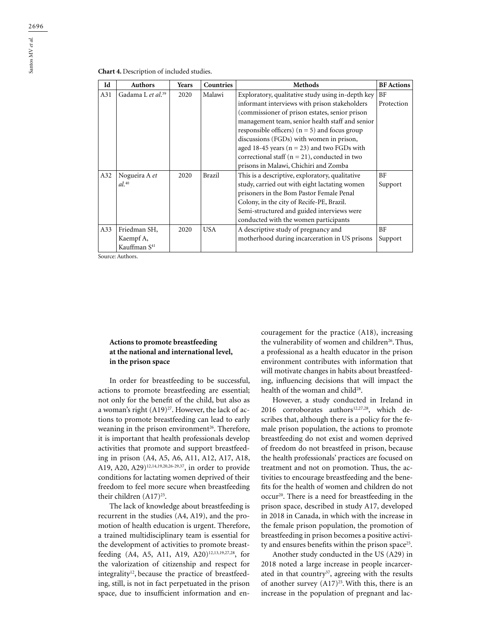| <b>Chart 4.</b> Description of included studies. |  |
|--------------------------------------------------|--|
|--------------------------------------------------|--|

| Id  | <b>Authors</b>                | Years | Countries     | <b>Methods</b>                                    | <b>BF</b> Actions |
|-----|-------------------------------|-------|---------------|---------------------------------------------------|-------------------|
| A31 | Gadama L et al. <sup>39</sup> | 2020  | Malawi        | Exploratory, qualitative study using in-depth key | BF                |
|     |                               |       |               | informant interviews with prison stakeholders     | Protection        |
|     |                               |       |               | (commissioner of prison estates, senior prison    |                   |
|     |                               |       |               | management team, senior health staff and senior   |                   |
|     |                               |       |               | responsible officers) $(n = 5)$ and focus group   |                   |
|     |                               |       |               | discussions (FGDs) with women in prison,          |                   |
|     |                               |       |               | aged 18-45 years ( $n = 23$ ) and two FGDs with   |                   |
|     |                               |       |               | correctional staff ( $n = 21$ ), conducted in two |                   |
|     |                               |       |               | prisons in Malawi, Chichiri and Zomba             |                   |
| A32 | Nogueira A et                 | 2020  | <b>Brazil</b> | This is a descriptive, exploratory, qualitative   | BF                |
|     | $al.^{40}$                    |       |               | study, carried out with eight lactating women     | Support           |
|     |                               |       |               | prisoners in the Bom Pastor Female Penal          |                   |
|     |                               |       |               | Colony, in the city of Recife-PE, Brazil.         |                   |
|     |                               |       |               | Semi-structured and guided interviews were        |                   |
|     |                               |       |               | conducted with the women participants             |                   |
| A33 | Friedman SH,                  | 2020  | <b>USA</b>    | A descriptive study of pregnancy and              | BF                |
|     | Kaempf A,                     |       |               | motherhood during incarceration in US prisons     | Support           |
|     | Kauffman S <sup>41</sup>      |       |               |                                                   |                   |

## **Actions to promote breastfeeding at the national and international level, in the prison space**

In order for breastfeeding to be successful, actions to promote breastfeeding are essential; not only for the benefit of the child, but also as a woman's right  $(A19)^{27}$ . However, the lack of actions to promote breastfeeding can lead to early weaning in the prison environment<sup>26</sup>. Therefore, it is important that health professionals develop activities that promote and support breastfeeding in prison (A4, A5, A6, A11, A12, A17, A18, A19, A20, A29)12,14,19,20,26-29,37, in order to provide conditions for lactating women deprived of their freedom to feel more secure when breastfeeding their children  $(A17)^{25}$ .

The lack of knowledge about breastfeeding is recurrent in the studies (A4, A19), and the promotion of health education is urgent. Therefore, a trained multidisciplinary team is essential for the development of activities to promote breastfeeding (A4, A5, A11, A19, A20)<sup>12,13,19,27,28</sup>, for the valorization of citizenship and respect for integrality<sup>12</sup>, because the practice of breastfeeding, still, is not in fact perpetuated in the prison space, due to insufficient information and encouragement for the practice (A18), increasing the vulnerability of women and children<sup>26</sup>. Thus, a professional as a health educator in the prison environment contributes with information that will motivate changes in habits about breastfeeding, influencing decisions that will impact the health of the woman and child<sup>28</sup>.

However, a study conducted in Ireland in 2016 corroborates authors<sup>12,27,28</sup>, which describes that, although there is a policy for the female prison population, the actions to promote breastfeeding do not exist and women deprived of freedom do not breastfeed in prison, because the health professionals' practices are focused on treatment and not on promotion. Thus, the activities to encourage breastfeeding and the benefits for the health of women and children do not occur20. There is a need for breastfeeding in the prison space, described in study A17, developed in 2018 in Canada, in which with the increase in the female prison population, the promotion of breastfeeding in prison becomes a positive activity and ensures benefits within the prison space<sup>25</sup>.

Another study conducted in the US (A29) in 2018 noted a large increase in people incarcerated in that country<sup>37</sup>, agreeing with the results of another survey  $(A17)^{25}$ . With this, there is an increase in the population of pregnant and lac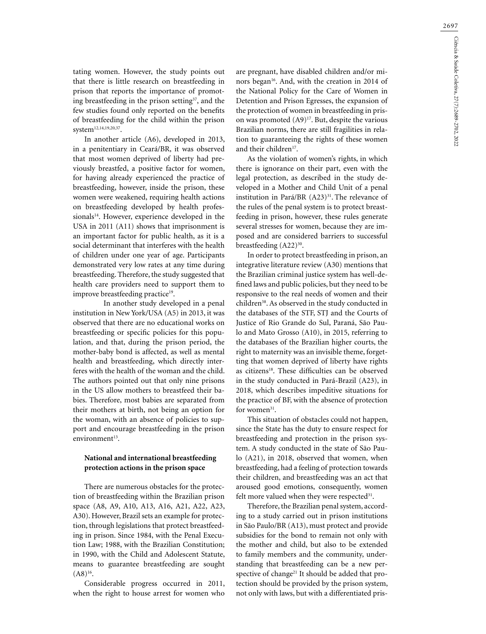tating women. However, the study points out that there is little research on breastfeeding in prison that reports the importance of promoting breastfeeding in the prison setting $37$ , and the few studies found only reported on the benefits of breastfeeding for the child within the prison system<sup>12,14,19,20,37</sup>.

In another article (A6), developed in 2013, in a penitentiary in Ceará/BR, it was observed that most women deprived of liberty had previously breastfed, a positive factor for women, for having already experienced the practice of breastfeeding, however, inside the prison, these women were weakened, requiring health actions on breastfeeding developed by health professionals<sup>14</sup>. However, experience developed in the USA in 2011 (A11) shows that imprisonment is an important factor for public health, as it is a social determinant that interferes with the health of children under one year of age. Participants demonstrated very low rates at any time during breastfeeding. Therefore, the study suggested that health care providers need to support them to improve breastfeeding practice<sup>19</sup>.

 In another study developed in a penal institution in New York/USA (A5) in 2013, it was observed that there are no educational works on breastfeeding or specific policies for this population, and that, during the prison period, the mother-baby bond is affected, as well as mental health and breastfeeding, which directly interferes with the health of the woman and the child. The authors pointed out that only nine prisons in the US allow mothers to breastfeed their babies. Therefore, most babies are separated from their mothers at birth, not being an option for the woman, with an absence of policies to support and encourage breastfeeding in the prison  $environment<sup>13</sup>$ .

## **National and international breastfeeding protection actions in the prison space**

There are numerous obstacles for the protection of breastfeeding within the Brazilian prison space (A8, A9, A10, A13, A16, A21, A22, A23, A30). However, Brazil sets an example for protection, through legislations that protect breastfeeding in prison. Since 1984, with the Penal Execution Law; 1988, with the Brazilian Constitution; in 1990, with the Child and Adolescent Statute, means to guarantee breastfeeding are sought  $(A8)^{16}$ .

Considerable progress occurred in 2011, when the right to house arrest for women who

are pregnant, have disabled children and/or minors began<sup>16</sup>. And, with the creation in 2014 of the National Policy for the Care of Women in Detention and Prison Egresses, the expansion of the protection of women in breastfeeding in prison was promoted  $(A9)^{17}$ . But, despite the various Brazilian norms, there are still fragilities in relation to guaranteeing the rights of these women and their children<sup>17</sup>.

As the violation of women's rights, in which there is ignorance on their part, even with the legal protection, as described in the study developed in a Mother and Child Unit of a penal institution in Pará/BR (A23)<sup>31</sup>. The relevance of the rules of the penal system is to protect breastfeeding in prison, however, these rules generate several stresses for women, because they are imposed and are considered barriers to successful breastfeeding  $(A22)^{30}$ .

In order to protect breastfeeding in prison, an integrative literature review (A30) mentions that the Brazilian criminal justice system has well-defined laws and public policies, but they need to be responsive to the real needs of women and their children<sup>38</sup>. As observed in the study conducted in the databases of the STF, STJ and the Courts of Justice of Rio Grande do Sul, Paraná, São Paulo and Mato Grosso (A10), in 2015, referring to the databases of the Brazilian higher courts, the right to maternity was an invisible theme, forgetting that women deprived of liberty have rights as citizens<sup>18</sup>. These difficulties can be observed in the study conducted in Pará-Brazil (A23), in 2018, which describes impeditive situations for the practice of BF, with the absence of protection for women $31$ .

This situation of obstacles could not happen, since the State has the duty to ensure respect for breastfeeding and protection in the prison system. A study conducted in the state of São Paulo (A21), in 2018, observed that women, when breastfeeding, had a feeling of protection towards their children, and breastfeeding was an act that aroused good emotions, consequently, women felt more valued when they were respected $31$ .

Therefore, the Brazilian penal system, according to a study carried out in prison institutions in São Paulo/BR (A13), must protect and provide subsidies for the bond to remain not only with the mother and child, but also to be extended to family members and the community, understanding that breastfeeding can be a new perspective of change<sup>21</sup> It should be added that protection should be provided by the prison system, not only with laws, but with a differentiated pris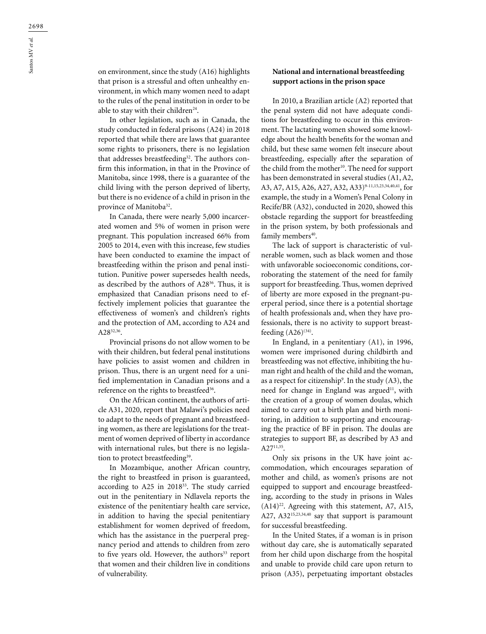on environment, since the study (A16) highlights that prison is a stressful and often unhealthy environment, in which many women need to adapt to the rules of the penal institution in order to be able to stay with their children<sup>24</sup>.

In other legislation, such as in Canada, the study conducted in federal prisons (A24) in 2018 reported that while there are laws that guarantee some rights to prisoners, there is no legislation that addresses breastfeeding<sup>32</sup>. The authors confirm this information, in that in the Province of Manitoba, since 1998, there is a guarantee of the child living with the person deprived of liberty, but there is no evidence of a child in prison in the province of Manitoba<sup>32</sup>.

In Canada, there were nearly 5,000 incarcerated women and 5% of women in prison were pregnant. This population increased 66% from 2005 to 2014, even with this increase, few studies have been conducted to examine the impact of breastfeeding within the prison and penal institution. Punitive power supersedes health needs, as described by the authors of A2836. Thus, it is emphasized that Canadian prisons need to effectively implement policies that guarantee the effectiveness of women's and children's rights and the protection of AM, according to A24 and A28<sup>32,36</sup>.

Provincial prisons do not allow women to be with their children, but federal penal institutions have policies to assist women and children in prison. Thus, there is an urgent need for a unified implementation in Canadian prisons and a reference on the rights to breastfeed<sup>36</sup>.

On the African continent, the authors of article A31, 2020, report that Malawi's policies need to adapt to the needs of pregnant and breastfeeding women, as there are legislations for the treatment of women deprived of liberty in accordance with international rules, but there is no legislation to protect breastfeeding<sup>39</sup>.

In Mozambique, another African country, the right to breastfeed in prison is guaranteed, according to A25 in 201833. The study carried out in the penitentiary in Ndlavela reports the existence of the penitentiary health care service, in addition to having the special penitentiary establishment for women deprived of freedom, which has the assistance in the puerperal pregnancy period and attends to children from zero to five years old. However, the authors<sup>33</sup> report that women and their children live in conditions of vulnerability.

## **National and international breastfeeding support actions in the prison space**

In 2010, a Brazilian article (A2) reported that the penal system did not have adequate conditions for breastfeeding to occur in this environment. The lactating women showed some knowledge about the health benefits for the woman and child, but these same women felt insecure about breastfeeding, especially after the separation of the child from the mother<sup>10</sup>. The need for support has been demonstrated in several studies (A1, A2, A3, A7, A15, A26, A27, A32, A33)<sup>9-11,15,23,34,40,41</sup>, for example, the study in a Women's Penal Colony in Recife/BR (A32), conducted in 2020, showed this obstacle regarding the support for breastfeeding in the prison system, by both professionals and family members<sup>40</sup>.

The lack of support is characteristic of vulnerable women, such as black women and those with unfavorable socioeconomic conditions, corroborating the statement of the need for family support for breastfeeding. Thus, women deprived of liberty are more exposed in the pregnant-puerperal period, since there is a potential shortage of health professionals and, when they have professionals, there is no activity to support breastfeeding  $(A26)^{(34)}$ .

In England, in a penitentiary (A1), in 1996, women were imprisoned during childbirth and breastfeeding was not effective, inhibiting the human right and health of the child and the woman, as a respect for citizenship<sup>9</sup>. In the study  $(A3)$ , the need for change in England was argued<sup>11</sup>, with the creation of a group of women doulas, which aimed to carry out a birth plan and birth monitoring, in addition to supporting and encouraging the practice of BF in prison. The doulas are strategies to support BF, as described by A3 and  $A27^{11,35}$ .

Only six prisons in the UK have joint accommodation, which encourages separation of mother and child, as women's prisons are not equipped to support and encourage breastfeeding, according to the study in prisons in Wales  $(A14)^{22}$ . Agreeing with this statement, A7, A15, A27, A32<sup>15,23,34,40</sup> say that support is paramount for successful breastfeeding.

In the United States, if a woman is in prison without day care, she is automatically separated from her child upon discharge from the hospital and unable to provide child care upon return to prison (A35), perpetuating important obstacles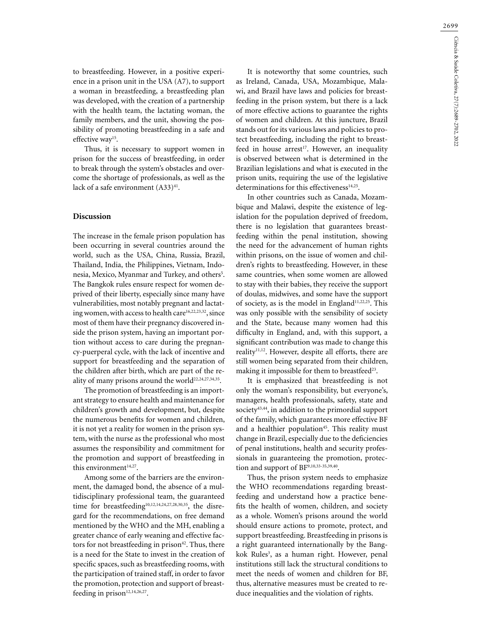2699

to breastfeeding. However, in a positive experience in a prison unit in the USA (A7), to support a woman in breastfeeding, a breastfeeding plan was developed, with the creation of a partnership with the health team, the lactating woman, the family members, and the unit, showing the possibility of promoting breastfeeding in a safe and effective way<sup>15</sup>.

Thus, it is necessary to support women in prison for the success of breastfeeding, in order to break through the system's obstacles and overcome the shortage of professionals, as well as the lack of a safe environment  $(A33)^{41}$ .

## **Discussion**

The increase in the female prison population has been occurring in several countries around the world, such as the USA, China, Russia, Brazil, Thailand, India, the Philippines, Vietnam, Indonesia, Mexico, Myanmar and Turkey, and others<sup>5</sup>. The Bangkok rules ensure respect for women deprived of their liberty, especially since many have vulnerabilities, most notably pregnant and lactating women, with access to health care<sup>16,22,23,32</sup>, since most of them have their pregnancy discovered inside the prison system, having an important portion without access to care during the pregnancy-puerperal cycle, with the lack of incentive and support for breastfeeding and the separation of the children after birth, which are part of the reality of many prisons around the world<sup>22,24,27,34,35</sup>.

The promotion of breastfeeding is an important strategy to ensure health and maintenance for children's growth and development, but, despite the numerous benefits for women and children, it is not yet a reality for women in the prison system, with the nurse as the professional who most assumes the responsibility and commitment for the promotion and support of breastfeeding in this environment<sup>14,27</sup>.

Among some of the barriers are the environment, the damaged bond, the absence of a multidisciplinary professional team, the guaranteed time for breastfeeding<sup>10,12,14,24,27,28,30,35</sup>, the disregard for the recommendations, on free demand mentioned by the WHO and the MH, enabling a greater chance of early weaning and effective factors for not breastfeeding in prison<sup>42</sup>. Thus, there is a need for the State to invest in the creation of specific spaces, such as breastfeeding rooms, with the participation of trained staff, in order to favor the promotion, protection and support of breastfeeding in prison $12,14,26,27$ .

It is noteworthy that some countries, such as Ireland, Canada, USA, Mozambique, Malawi, and Brazil have laws and policies for breastfeeding in the prison system, but there is a lack of more effective actions to guarantee the rights of women and children. At this juncture, Brazil stands out for its various laws and policies to protect breastfeeding, including the right to breastfeed in house arrest<sup>17</sup>. However, an inequality is observed between what is determined in the Brazilian legislations and what is executed in the prison units, requiring the use of the legislative determinations for this effectiveness<sup>14,25</sup>.

In other countries such as Canada, Mozambique and Malawi, despite the existence of legislation for the population deprived of freedom, there is no legislation that guarantees breastfeeding within the penal institution, showing the need for the advancement of human rights within prisons, on the issue of women and children's rights to breastfeeding. However, in these same countries, when some women are allowed to stay with their babies, they receive the support of doulas, midwives, and some have the support of society, as is the model in England<sup>11,22,25</sup>. This was only possible with the sensibility of society and the State, because many women had this difficulty in England, and, with this support, a significant contribution was made to change this reality<sup>11,12</sup>. However, despite all efforts, there are still women being separated from their children, making it impossible for them to breastfeed<sup>23</sup>.

It is emphasized that breastfeeding is not only the woman's responsibility, but everyone's, managers, health professionals, safety, state and society $43,44$ , in addition to the primordial support of the family, which guarantees more effective BF and a healthier population<sup>45</sup>. This reality must change in Brazil, especially due to the deficiencies of penal institutions, health and security professionals in guaranteeing the promotion, protection and support of BF<sup>9,10,33-35,39,40</sup>.

Thus, the prison system needs to emphasize the WHO recommendations regarding breastfeeding and understand how a practice benefits the health of women, children, and society as a whole. Women's prisons around the world should ensure actions to promote, protect, and support breastfeeding. Breastfeeding in prisons is a right guaranteed internationally by the Bangkok Rules<sup>3</sup>, as a human right. However, penal institutions still lack the structural conditions to meet the needs of women and children for BF, thus, alternative measures must be created to reduce inequalities and the violation of rights.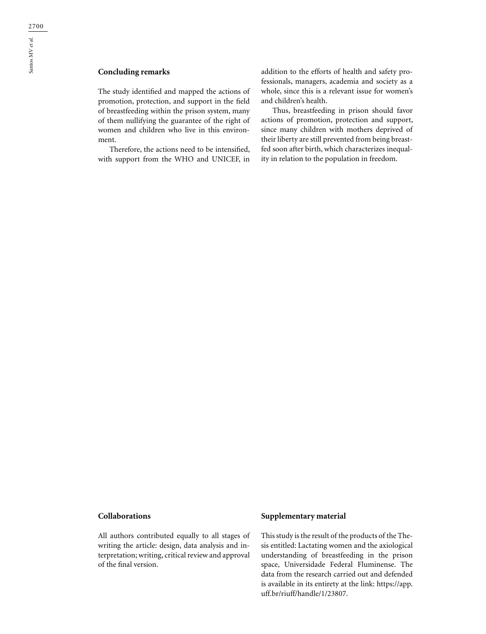The study identified and mapped the actions of promotion, protection, and support in the field of breastfeeding within the prison system, many of them nullifying the guarantee of the right of women and children who live in this environment.

Therefore, the actions need to be intensified, with support from the WHO and UNICEF, in addition to the efforts of health and safety professionals, managers, academia and society as a whole, since this is a relevant issue for women's and children's health.

Thus, breastfeeding in prison should favor actions of promotion, protection and support, since many children with mothers deprived of their liberty are still prevented from being breastfed soon after birth, which characterizes inequality in relation to the population in freedom.

## **Collaborations**

All authors contributed equally to all stages of writing the article: design, data analysis and interpretation; writing, critical review and approval of the final version.

## **Supplementary material**

This study is the result of the products of the Thesis entitled: Lactating women and the axiological understanding of breastfeeding in the prison space, Universidade Federal Fluminense. The data from the research carried out and defended is available in its entirety at the link: https://app. uff.br/riuff/handle/1/23807.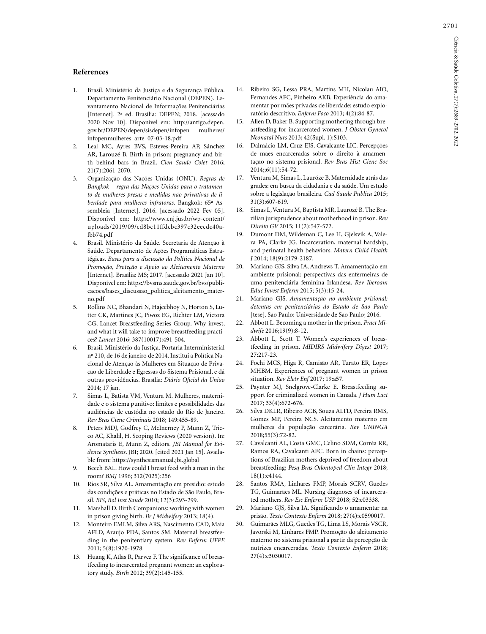#### **References**

- 1. Brasil. Ministério da Justiça e da Segurança Pública. Departamento Penitenciário Nacional (DEPEN). Levantamento Nacional de Informações Penitenciárias [Internet]. 2ª ed. Brasília: DEPEN; 2018. [acessado 2020 Nov 10]. Disponível em: http://antigo.depen. gov.br/DEPEN/depen/sisdepen/infopen mulheres/ infopenmulheres\_arte\_07-03-18.pdf
- 2. Leal MC, Ayres BVS, Esteves-Pereira AP, Sánchez AR, Larouzé B. Birth in prison: pregnancy and birth behind bars in Brazil. *Cien Saude Colet* 2016; 21(7):2061-2070.
- 3. Organização das Nações Unidas (ONU). *Regras de Bangkok – regra das Nações Unidas para o tratamento de mulheres presas e medidas não privativas de liberdade para mulheres infratoras*. Bangkok: 65ª Assembleia [Internet]. 2016. [acessado 2022 Fev 05]. Disponível em: https://www.cnj.jus.br/wp-content/ uploads/2019/09/cd8bc11ffdcbc397c32eecdc40afbb74.pdf
- 4. Brasil. Ministério da Saúde. Secretaria de Atenção à Saúde. Departamento de Ações Programáticas Estratégicas. *Bases para a discussão da Política Nacional de Promoção, Proteção e Apoio ao Aleitamento Materno* [Internet]. Brasília: MS; 2017. [acessado 2021 Jan 10]. Disponível em: https://bvsms.saude.gov.br/bvs/publicacoes/bases\_discussao\_politica\_aleitamento\_materno.pdf
- 5. Rollins NC, Bhandari N, Hajeebhoy N, Horton S, Lutter CK, Martines JC, Piwoz EG, Richter LM, Victora CG, Lancet Breastfeeding Series Group. Why invest, and what it will take to improve breastfeeding practices? *Lancet* 2016; 387(10017):491-504.
- 6. Brasil. Ministério da Justiça. Portaria Interministerial nº 210, de 16 de janeiro de 2014. Institui a Política Nacional de Atenção às Mulheres em Situação de Privação de Liberdade e Egressas do Sistema Prisional, e dá outras providências. Brasília: *Diário Oficial da União* 2014; 17 jan.
- 7. Simas L, Batista VM, Ventura M. Mulheres, maternidade e o sistema punitivo: limites e possibilidades das audiências de custódia no estado do Rio de Janeiro. *Rev Bras Cienc Criminais* 2018; 149:455-89.
- 8. Peters MDJ, Godfrey C, McInerney P, Munn Z, Tricco AC, Khalil, H. Scoping Reviews (2020 version). In: Aromataris E, Munn Z, editors. *JBI Manual for Evidence Synthesis*. JBI; 2020. [cited 2021 Jan 15]. Available from: https://synthesismanual.jbi.global
- 9. Beech BAL. How could I breast feed with a man in the room? *BMJ* 1996; 312(7025):256
- 10. Rios SR, Silva AL. Amamentação em presídio: estudo das condições e práticas no Estado de São Paulo, Brasil. *BIS, Bol Inst Saude* 2010; 12(3):293-299.
- 11. Marshall D. Birth Companions: working with women in prison giving birth. *Br J Midwifery* 2013; 18(4).
- 12. Monteiro EMLM, Silva ARS, Nascimento CAD, Maia AFLD, Araujo PDA, Santos SM. Maternal breastfeeding in the penitentiary system. *Rev Enferm UFPE* 2011; 5(8):1970-1978.
- 13. Huang K, Atlas R, Parvez F. The significance of breastfeeding to incarcerated pregnant women: an exploratory study. *Birth* 2012; 39(2):145-155.
- 14. Ribeiro SG, Lessa PRA, Martins MH, Nicolau AIO, Fernandes AFC, Pinheiro AKB. Experiência do amamentar por mães privadas de liberdade: estudo exploratório descritivo. *Enferm Foco* 2013; 4(2):84-87.
- 15. Allen D, Baker B. Supporting mothering through breastfeeding for incarcerated women. *J Obstet Gynecol Neonatal Nurs* 2013; 42(Supl. 1):S103.
- 16. Dalmácio LM, Cruz EJS, Cavalcante LIC. Percepções de mães encarceradas sobre o direito à amamentação no sistema prisional. *Rev Bras Hist Cienc Soc* 2014;;6(11):54-72.
- 17. Ventura M, Simas L, Lauróze B. Maternidade atrás das grades: em busca da cidadania e da saúde. Um estudo sobre a legislação brasileira. *Cad Saude Publica* 2015; 31(3):607-619.
- 18. Simas L, Ventura M, Baptista MR, Laurozé B. The Brazilian jurisprudence about motherhood in prison. *Rev Direito GV* 2015; 11(2):547-572.
- Dumont DM, Wildeman C, Lee H, Gjelsvik A, Valera PA, Clarke JG. Incarceration, maternal hardship, and perinatal health behaviors. *Matern Child Health J* 2014; 18(9):2179-2187.
- 20. Mariano GJS, Silva IA, Andrews T. Amamentação em ambiente prisional: perspectivas das enfermeiras de uma penitenciária feminina Irlandesa. *Rev Iberoam Educ Invest Enferm* 2015; 5(3):15-24.
- 21. Mariano GJS. *Amamentação no ambiente prisional: detentas em penitenciárias do Estado de São Paulo* [tese]. São Paulo: Universidade de São Paulo; 2016.
- 22. Abbott L. Becoming a mother in the prison. *Pract Midwife* 2016;19(9):8-12.
- 23. Abbott L, Scott T. Women's experiences of breastfeeding in prison. *MIDIRS Midwifery Digest* 2017; 27:217-23.
- 24. Fochi MCS, Higa R, Camisão AR, Turato ER, Lopes MHBM. Experiences of pregnant women in prison situation. *Rev Eletr Enf* 2017; 19:a57.
- 25. Paynter MJ, Snelgrove-Clarke E. Breastfeeding support for criminalized women in Canada. *J Hum Lact* 2017; 33(4):672-676.
- 26. Silva DKLR, Ribeiro ACB, Souza ALTD, Pereira RMS, Gomes MP, Pereira NCS. Aleitamento materno em mulheres da população carcerária. *Rev UNINGA* 2018;55(3):72-82.
- 27. Cavalcanti AL, Costa GMC, Celino SDM, Corrêa RR, Ramos RA, Cavalcanti AFC. Born in chains: perceptions of Brazilian mothers deprived of freedom about breastfeeding; *Pesq Bras Odontoped Clin Integr* 2018; 18(1):e4144.
- 28. Santos RMA, Linhares FMP, Morais SCRV, Guedes TG, Guimarães ML. Nursing diagnoses of incarcerated mothers. *Rev Esc Enferm USP* 2018; 52:e03338.
- 29. Mariano GJS, Silva IA. Significando o amamentar na prisão. *Texto Contexto Enferm* 2018; 27(4):e0590017.
- 30. Guimarães MLG, Guedes TG, Lima LS, Morais VSCR, Javorski M, Linhares FMP. Promoção do aleitamento materno no sistema prisional a partir da percepção de nutrizes encarceradas. *Texto Contexto Enferm* 2018; 27(4):e3030017.